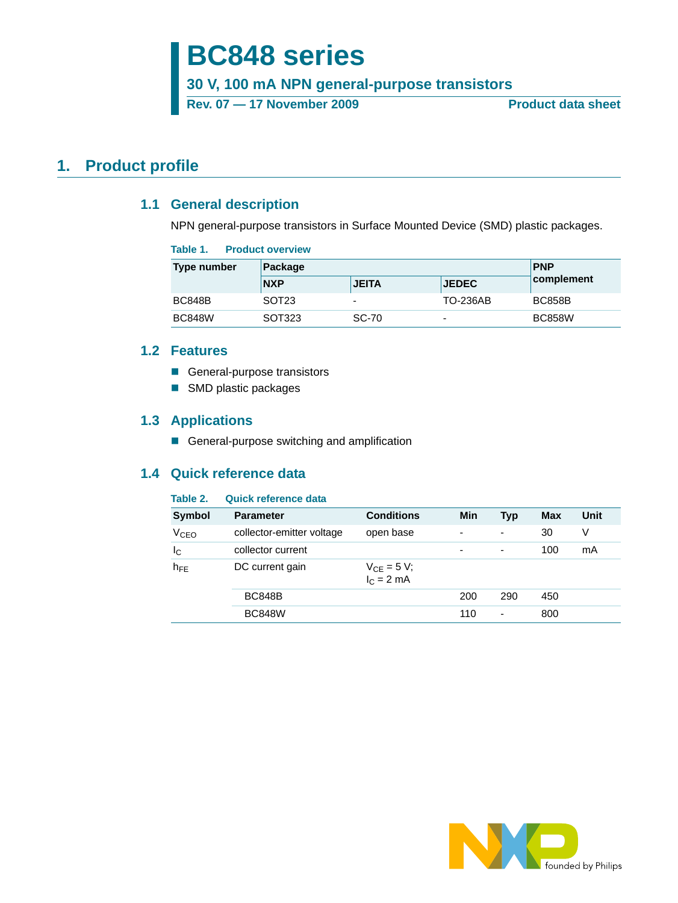# **BC848 series**

**30 V, 100 mA NPN general-purpose transistors**

Rev. 07 — 17 November 2009 **Product data sheet** 

## <span id="page-0-1"></span><span id="page-0-0"></span>**1. Product profile**

## **1.1 General description**

NPN general-purpose transistors in Surface Mounted Device (SMD) plastic packages.

#### **Table 1. Product overview**

| Type number   | Package           |                          |                          | <b>PNP</b>    |  |
|---------------|-------------------|--------------------------|--------------------------|---------------|--|
|               | <b>NXP</b>        | <b>JEITA</b>             | <b>JEDEC</b>             | complement    |  |
| <b>BC848B</b> | SOT <sub>23</sub> | $\overline{\phantom{0}}$ | TO-236AB                 | <b>BC858B</b> |  |
| <b>BC848W</b> | SOT323            | <b>SC-70</b>             | $\overline{\phantom{0}}$ | <b>BC858W</b> |  |

### <span id="page-0-2"></span>**1.2 Features**

- General-purpose transistors
- SMD plastic packages

### <span id="page-0-3"></span>**1.3 Applications**

General-purpose switching and amplification

## <span id="page-0-4"></span>**1.4 Quick reference data**

### **Table 2. Quick reference data**

| <b>Symbol</b>          | <b>Parameter</b>          | <b>Conditions</b>               | Min | <b>Typ</b> | <b>Max</b> | Unit |
|------------------------|---------------------------|---------------------------------|-----|------------|------------|------|
| <b>V<sub>CEO</sub></b> | collector-emitter voltage | open base                       | ۰   | -          | 30         | V    |
| $I_{\rm C}$            | collector current         |                                 | ۰   | -          | 100        | mA   |
| $h_{FE}$               | DC current gain           | $V_{CE} = 5 V;$<br>$I_C = 2 mA$ |     |            |            |      |
|                        | <b>BC848B</b>             |                                 | 200 | 290        | 450        |      |
|                        | <b>BC848W</b>             |                                 | 110 | ٠          | 800        |      |

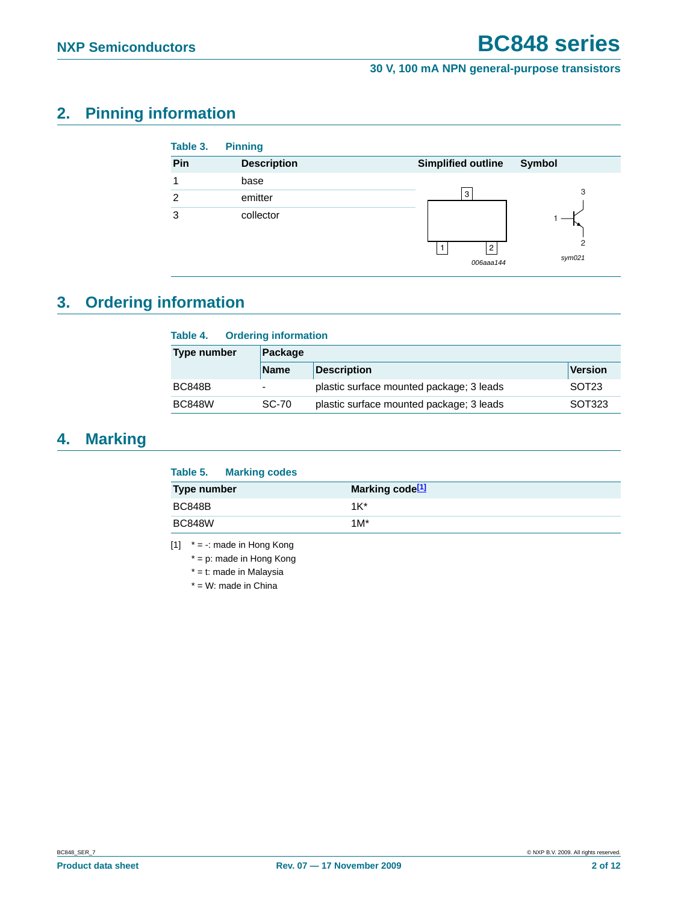## <span id="page-1-1"></span>**2. Pinning information**

| Table 3. | <b>Pinning</b>     |                                            |
|----------|--------------------|--------------------------------------------|
| Pin      | <b>Description</b> | <b>Simplified outline</b><br>Symbol        |
| и        | base               |                                            |
| 2        | emitter            | 3<br>3                                     |
| 3        | collector          | $\overline{2}$<br>2<br>sym021<br>006aaa144 |

# <span id="page-1-2"></span>**3. Ordering information**

| <b>Ordering information</b><br>Table 4. |              |                                          |                   |  |
|-----------------------------------------|--------------|------------------------------------------|-------------------|--|
| <b>Type number</b>                      | Package      |                                          |                   |  |
|                                         | <b>Name</b>  | <b>Description</b>                       | <b>Version</b>    |  |
| <b>BC848B</b>                           |              | plastic surface mounted package; 3 leads | SOT <sub>23</sub> |  |
| <b>BC848W</b>                           | <b>SC-70</b> | plastic surface mounted package; 3 leads | SOT323            |  |

## <span id="page-1-3"></span>**4. Marking**

|               | Table 5. Marking codes |                             |  |
|---------------|------------------------|-----------------------------|--|
| Type number   |                        | Marking code <sup>[1]</sup> |  |
| <b>BC848B</b> |                        | $1K^*$                      |  |
| <b>BC848W</b> |                        | $1M^*$                      |  |
|               |                        |                             |  |

<span id="page-1-0"></span>[1]  $* = -$ : made in Hong Kong

\* = p: made in Hong Kong

\* = t: made in Malaysia

 $*$  = W: made in China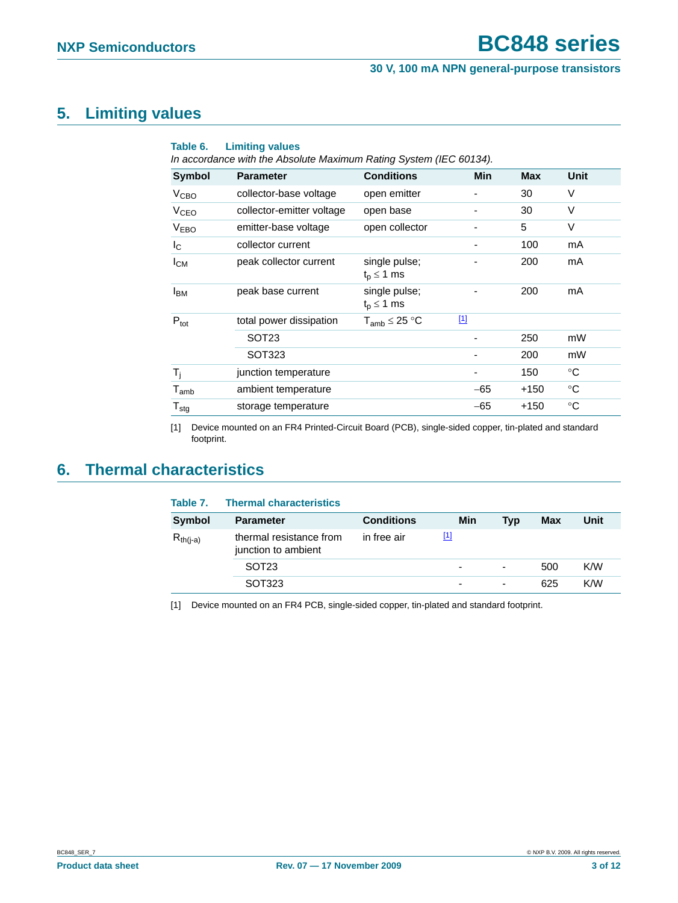## <span id="page-2-2"></span>**5. Limiting values**

| Table 6.                    | <b>Limiting values</b><br>In accordance with the Absolute Maximum Rating System (IEC 60134). |                                    |             |            |                 |
|-----------------------------|----------------------------------------------------------------------------------------------|------------------------------------|-------------|------------|-----------------|
| Symbol                      | <b>Parameter</b>                                                                             | <b>Conditions</b>                  | Min         | <b>Max</b> | Unit            |
| V <sub>CBO</sub>            | collector-base voltage                                                                       | open emitter                       |             | 30         | V               |
| <b>V<sub>CEO</sub></b>      | collector-emitter voltage                                                                    | open base                          |             | 30         | $\vee$          |
| <b>VEBO</b>                 | emitter-base voltage                                                                         | open collector                     |             | 5          | V               |
| $I_{\rm C}$                 | collector current                                                                            |                                    |             | 100        | mA              |
| $I_{CM}$                    | peak collector current                                                                       | single pulse;<br>$t_{p} \leq 1$ ms |             | 200        | mA              |
| <b>I</b> <sub>BM</sub>      | peak base current                                                                            | single pulse;<br>$t_{p} \leq 1$ ms |             | 200        | mA              |
| $P_{\text{tot}}$            | total power dissipation                                                                      | $T_{amb} \leq 25 °C$               | $\boxed{1}$ |            |                 |
|                             | SOT <sub>23</sub>                                                                            |                                    |             | 250        | mW              |
|                             | SOT323                                                                                       |                                    |             | 200        | mW              |
| $T_i$                       | junction temperature                                                                         |                                    |             | 150        | $^{\circ}C$     |
| $\mathsf{T}_{\mathsf{amb}}$ | ambient temperature                                                                          |                                    | $-65$       | $+150$     | $\rm ^{\circ}C$ |
| ${\mathsf T}_{\text{stg}}$  | storage temperature                                                                          |                                    | $-65$       | $+150$     | $\rm ^{\circ}C$ |

<span id="page-2-0"></span>[1] Device mounted on an FR4 Printed-Circuit Board (PCB), single-sided copper, tin-plated and standard footprint.

## <span id="page-2-3"></span>**6. Thermal characteristics**

| Table 7.      | <b>Thermal characteristics</b>                 |                   |                          |                          |     |      |
|---------------|------------------------------------------------|-------------------|--------------------------|--------------------------|-----|------|
| Symbol        | <b>Parameter</b>                               | <b>Conditions</b> | Min                      | Tvp                      | Max | Unit |
| $R_{th(i-a)}$ | thermal resistance from<br>junction to ambient | in free air       | [1]                      |                          |     |      |
|               | SOT <sub>23</sub>                              |                   | $\overline{\phantom{0}}$ | ٠                        | 500 | K/W  |
|               | SOT323                                         |                   | -                        | $\overline{\phantom{0}}$ | 625 | K/W  |
|               |                                                |                   |                          |                          |     |      |

<span id="page-2-1"></span>[1] Device mounted on an FR4 PCB, single-sided copper, tin-plated and standard footprint.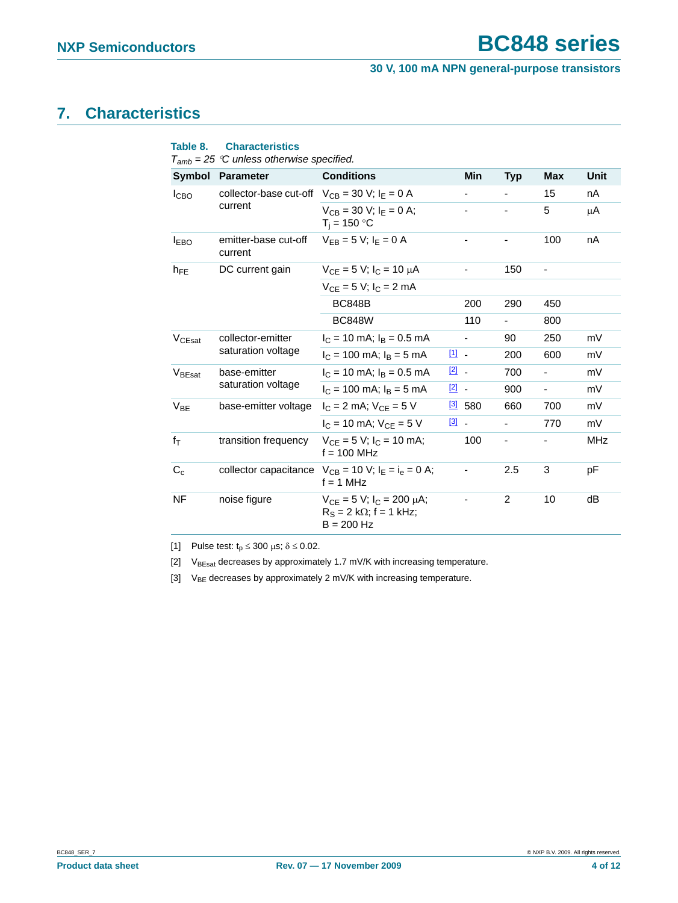## <span id="page-3-3"></span>**7. Characteristics**

|                    | $T_{amb}$ = 25 °C unless otherwise specified.       |                                                                                        |                                   |                          |                |                          |             |
|--------------------|-----------------------------------------------------|----------------------------------------------------------------------------------------|-----------------------------------|--------------------------|----------------|--------------------------|-------------|
|                    | Symbol Parameter                                    | <b>Conditions</b>                                                                      |                                   | Min                      | <b>Typ</b>     | <b>Max</b>               | <b>Unit</b> |
| I <sub>CBO</sub>   | collector-base cut-off $V_{CB} = 30$ V; $I_E = 0$ A |                                                                                        |                                   |                          |                | 15                       | nA          |
|                    | current                                             | $V_{CR} = 30 V$ : $I_F = 0 A$ :<br>$T_i = 150 °C$                                      |                                   |                          |                | 5                        | μA          |
| <b>IEBO</b>        | emitter-base cut-off<br>current                     | $V_{FB} = 5 V$ ; $I_F = 0 A$                                                           |                                   |                          |                | 100                      | nA          |
| $h_{FE}$           | DC current gain                                     | $V_{CF} = 5 V$ ; $I_C = 10 \mu A$                                                      |                                   |                          | 150            |                          |             |
|                    |                                                     | $V_{CF} = 5 V$ ; $I_C = 2 mA$                                                          |                                   |                          |                |                          |             |
|                    |                                                     | <b>BC848B</b>                                                                          |                                   | 200                      | 290            | 450                      |             |
|                    |                                                     | <b>BC848W</b>                                                                          |                                   | 110                      |                | 800                      |             |
| $V_{C\text{Fsat}}$ | collector-emitter<br>saturation voltage             | $I_C = 10$ mA; $I_B = 0.5$ mA                                                          |                                   | $\overline{\phantom{a}}$ | 90             | 250                      | mV          |
|                    |                                                     | $I_C = 100$ mA; $I_B = 5$ mA                                                           | 凹 -                               |                          | 200            | 600                      | mV          |
| V <sub>BEsat</sub> | base-emitter                                        | $I_C = 10$ mA; $I_B = 0.5$ mA                                                          | $\boxed{2}$ -                     |                          | 700            | ÷,                       | mV          |
|                    | saturation voltage                                  | $I_C = 100$ mA; $I_B = 5$ mA                                                           | $\boxed{2}$ -                     |                          | 900            | $\overline{\phantom{a}}$ | mV          |
| $V_{BE}$           | base-emitter voltage                                | $I_C = 2$ mA; $V_{CE} = 5$ V                                                           | $\boxed{3}$                       | 580                      | 660            | 700                      | mV          |
|                    |                                                     | $I_C = 10$ mA; $V_{CF} = 5$ V                                                          | $\begin{bmatrix} 3 \end{bmatrix}$ |                          | $\blacksquare$ | 770                      | mV          |
| $f_{\mathsf{T}}$   | transition frequency                                | $V_{CE} = 5 V$ ; $I_C = 10$ mA;<br>$f = 100$ MHz                                       |                                   | 100                      | ۰              |                          | MHz         |
| $C_c$              |                                                     | collector capacitance $V_{CB} = 10 V$ ; $I_F = I_a = 0 A$ ;<br>$f = 1$ MHz             |                                   | -                        | 2.5            | 3                        | рF          |
| NF                 | noise figure                                        | $V_{CE} = 5 V$ ; $I_C = 200 \mu A$ ;<br>$R_S = 2 k\Omega$ ; f = 1 kHz;<br>$B = 200$ Hz |                                   |                          | 2              | 10                       | dB          |

**Table 8. Characteristics**

<span id="page-3-0"></span>[1] Pulse test:  $t_p \le 300 \mu s$ ;  $\delta \le 0.02$ .

<span id="page-3-1"></span>[2]  $V_{BEsat}$  decreases by approximately 1.7 mV/K with increasing temperature.

<span id="page-3-2"></span>[3]  $V_{BE}$  decreases by approximately 2 mV/K with increasing temperature.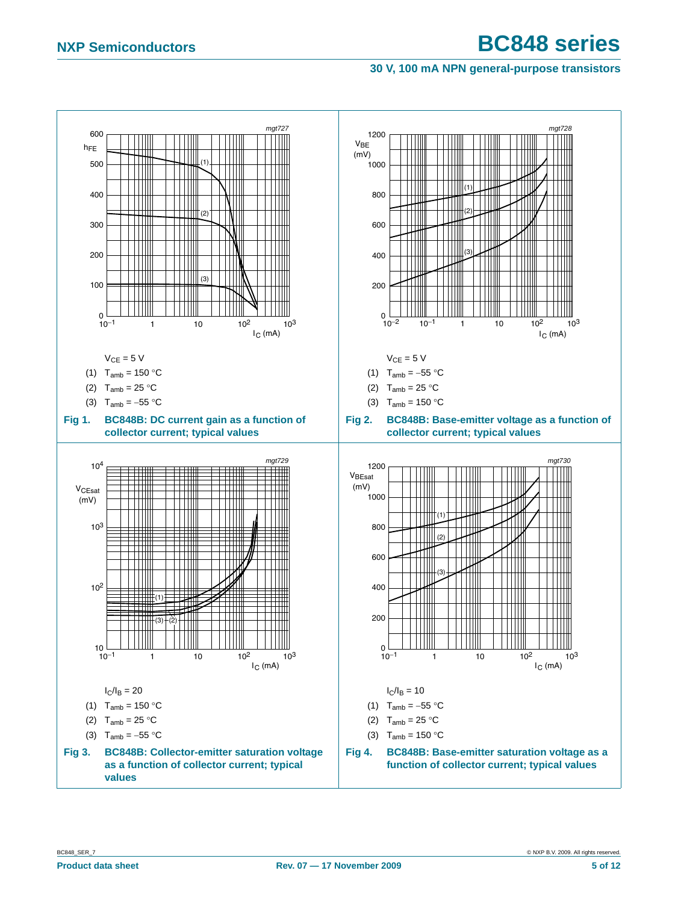### **30 V, 100 mA NPN general-purpose transistors**

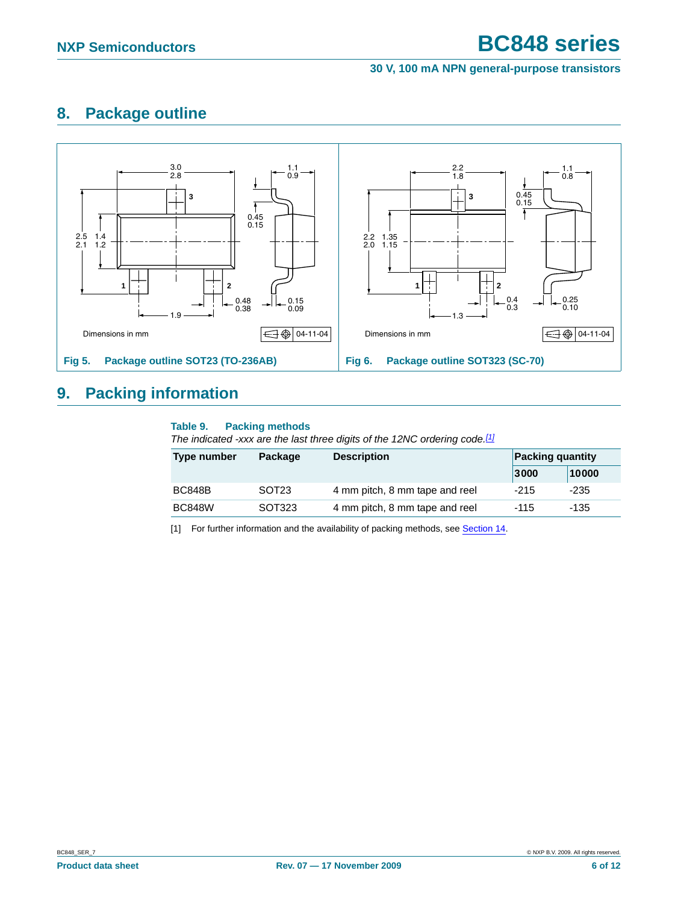## <span id="page-5-1"></span>**8. Package outline**



## <span id="page-5-2"></span>**9. Packing information**

#### **Table 9. Packing methods**

*The indicated -xxx are the last three digits of the 12NC ordering code.[\[1\]](#page-5-0)*

| Type number   | <b>Description</b><br>Package |                                | <b>Packing quantity</b> |       |  |
|---------------|-------------------------------|--------------------------------|-------------------------|-------|--|
|               |                               |                                | 3000                    | 10000 |  |
| <b>BC848B</b> | SOT <sub>23</sub>             | 4 mm pitch, 8 mm tape and reel | $-215$                  | -235  |  |
| <b>BC848W</b> | SOT323                        | 4 mm pitch, 8 mm tape and reel | -115                    | -135  |  |

<span id="page-5-0"></span>[1] For further information and the availability of packing methods, see [Section 14.](#page-10-0)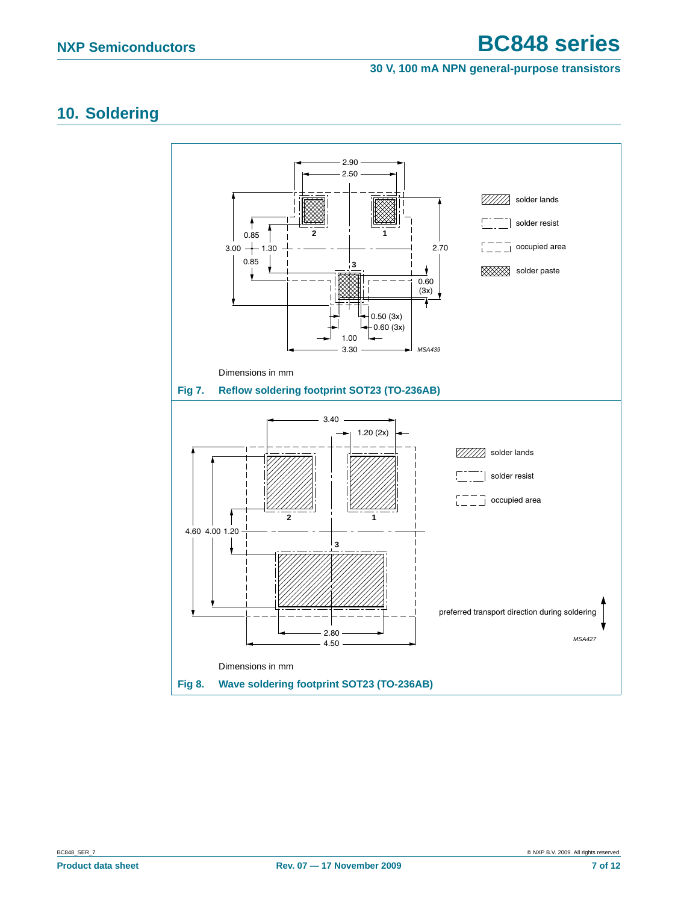#### **30 V, 100 mA NPN general-purpose transistors**

## <span id="page-6-0"></span>**10. Soldering**

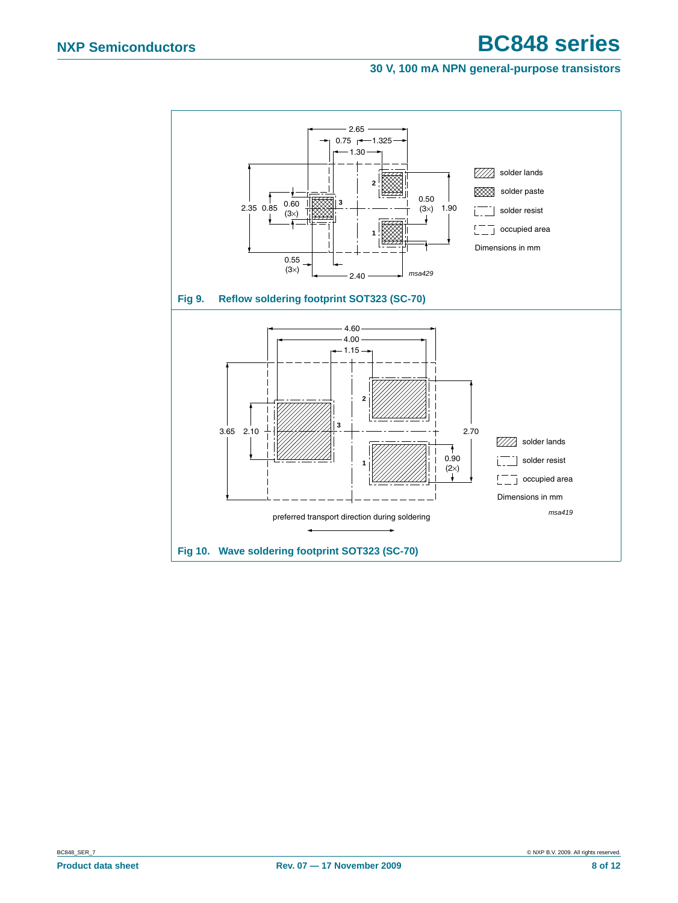#### **30 V, 100 mA NPN general-purpose transistors**

<span id="page-7-1"></span><span id="page-7-0"></span>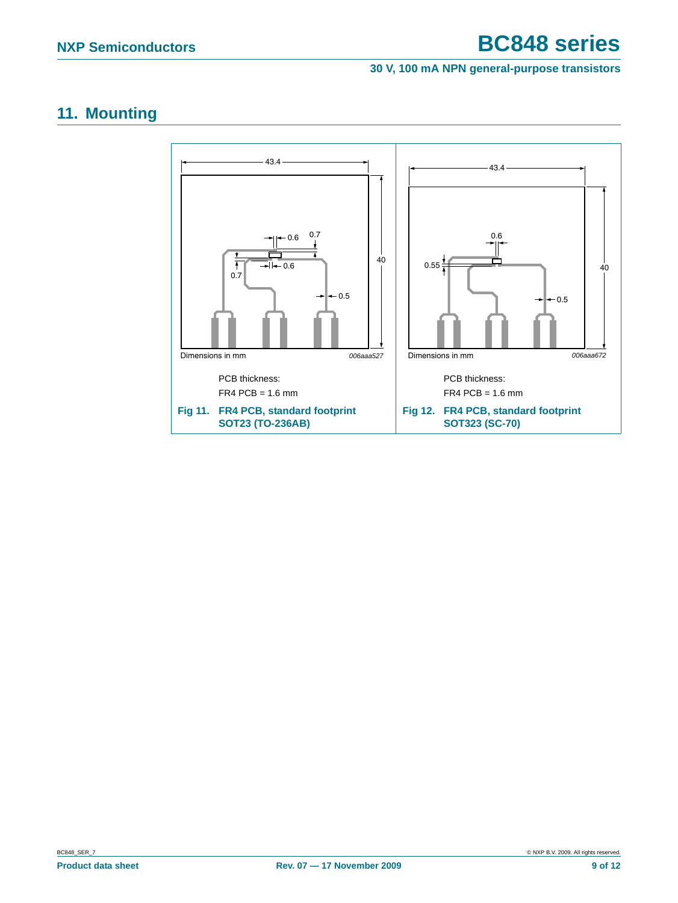#### **30 V, 100 mA NPN general-purpose transistors**

## <span id="page-8-0"></span>**11. Mounting**

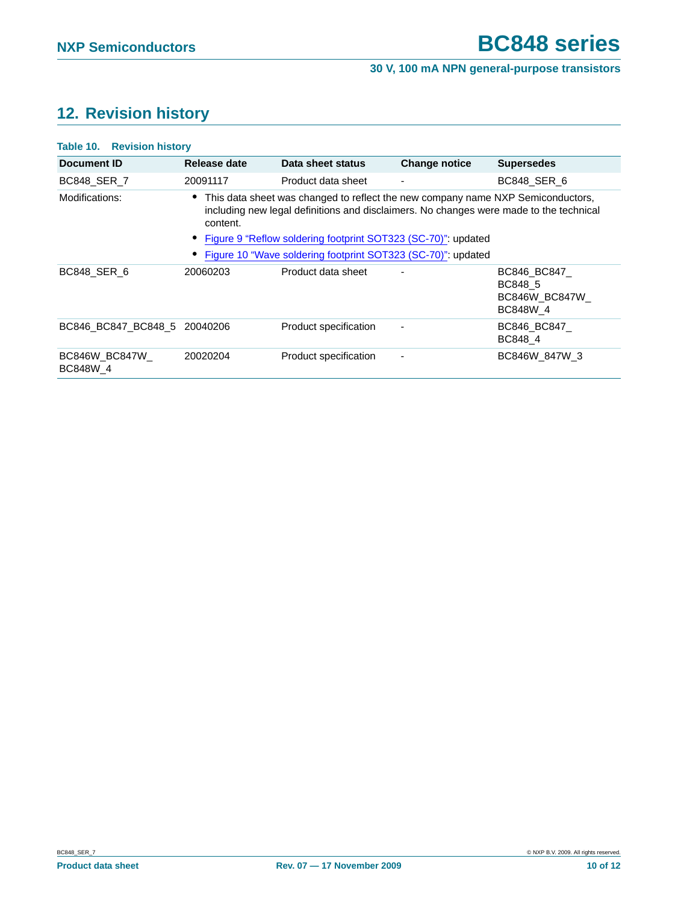# <span id="page-9-0"></span>**12. Revision history**

| Table 10. Revision history   |                                                                                                                                                                                                                                                            |                       |                      |                                                       |  |  |  |
|------------------------------|------------------------------------------------------------------------------------------------------------------------------------------------------------------------------------------------------------------------------------------------------------|-----------------------|----------------------|-------------------------------------------------------|--|--|--|
| Document ID                  | Release date                                                                                                                                                                                                                                               | Data sheet status     | <b>Change notice</b> | <b>Supersedes</b>                                     |  |  |  |
| <b>BC848 SER 7</b>           | 20091117                                                                                                                                                                                                                                                   | Product data sheet    |                      | BC848 SER 6                                           |  |  |  |
| Modifications:               | • This data sheet was changed to reflect the new company name NXP Semiconductors,<br>including new legal definitions and disclaimers. No changes were made to the technical<br>content.<br>• Figure 9 "Reflow soldering footprint SOT323 (SC-70)": updated |                       |                      |                                                       |  |  |  |
|                              | Figure 10 "Wave soldering footprint SOT323 (SC-70)": updated                                                                                                                                                                                               |                       |                      |                                                       |  |  |  |
| BC848 SER 6                  | 20060203                                                                                                                                                                                                                                                   | Product data sheet    |                      | BC846_BC847_<br>BC848 5<br>BC846W_BC847W_<br>BC848W 4 |  |  |  |
| BC846 BC847 BC848 5 20040206 |                                                                                                                                                                                                                                                            | Product specification |                      | BC846_BC847_<br>BC848 4                               |  |  |  |
| BC846W BC847W<br>BC848W 4    | 20020204                                                                                                                                                                                                                                                   | Product specification |                      | BC846W 847W 3                                         |  |  |  |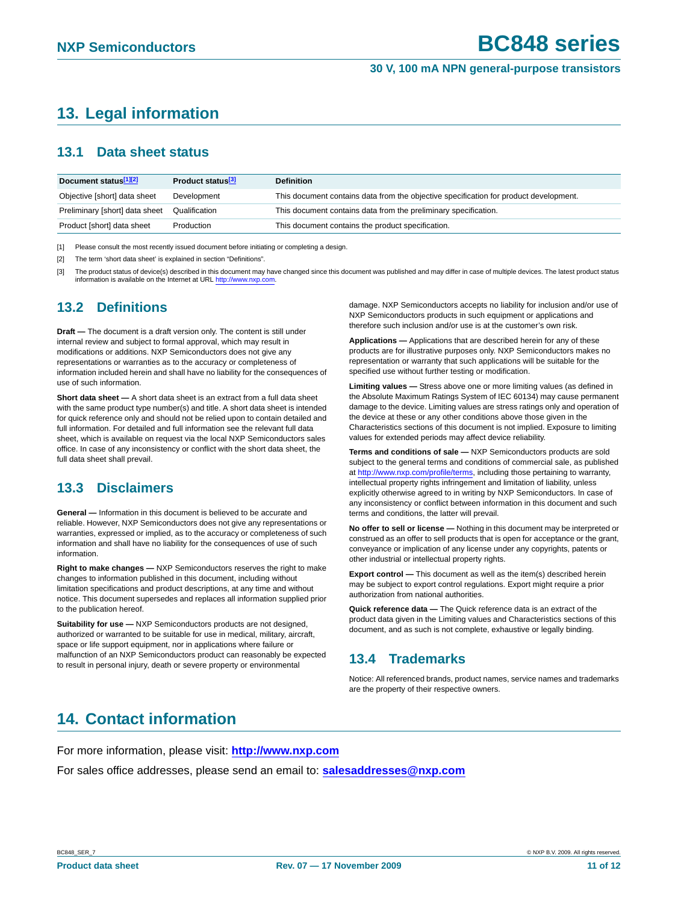# <span id="page-10-1"></span>**13. Legal information**

### <span id="page-10-2"></span>**13.1 Data sheet status**

| Document status <sup>[1][2]</sup> | Product status <sup>[3]</sup> | <b>Definition</b>                                                                     |
|-----------------------------------|-------------------------------|---------------------------------------------------------------------------------------|
| Objective [short] data sheet      | Development                   | This document contains data from the objective specification for product development. |
| Preliminary [short] data sheet    | Qualification                 | This document contains data from the preliminary specification.                       |
| Product [short] data sheet        | Production                    | This document contains the product specification.                                     |

[1] Please consult the most recently issued document before initiating or completing a design.

[2] The term 'short data sheet' is explained in section "Definitions".

[3] The product status of device(s) described in this document may have changed since this document was published and may differ in case of multiple devices. The latest product status information is available on the Internet at URL http://www.nxp.com.

## <span id="page-10-3"></span>**13.2 Definitions**

**Draft —** The document is a draft version only. The content is still under internal review and subject to formal approval, which may result in modifications or additions. NXP Semiconductors does not give any representations or warranties as to the accuracy or completeness of information included herein and shall have no liability for the consequences of use of such information.

**Short data sheet —** A short data sheet is an extract from a full data sheet with the same product type number(s) and title. A short data sheet is intended for quick reference only and should not be relied upon to contain detailed and full information. For detailed and full information see the relevant full data sheet, which is available on request via the local NXP Semiconductors sales office. In case of any inconsistency or conflict with the short data sheet, the full data sheet shall prevail.

## <span id="page-10-4"></span>**13.3 Disclaimers**

**General —** Information in this document is believed to be accurate and reliable. However, NXP Semiconductors does not give any representations or warranties, expressed or implied, as to the accuracy or completeness of such information and shall have no liability for the consequences of use of such information.

**Right to make changes —** NXP Semiconductors reserves the right to make changes to information published in this document, including without limitation specifications and product descriptions, at any time and without notice. This document supersedes and replaces all information supplied prior to the publication hereof.

**Suitability for use —** NXP Semiconductors products are not designed, authorized or warranted to be suitable for use in medical, military, aircraft, space or life support equipment, nor in applications where failure or malfunction of an NXP Semiconductors product can reasonably be expected to result in personal injury, death or severe property or environmental

damage. NXP Semiconductors accepts no liability for inclusion and/or use of NXP Semiconductors products in such equipment or applications and therefore such inclusion and/or use is at the customer's own risk.

**Applications —** Applications that are described herein for any of these products are for illustrative purposes only. NXP Semiconductors makes no representation or warranty that such applications will be suitable for the specified use without further testing or modification.

**Limiting values —** Stress above one or more limiting values (as defined in the Absolute Maximum Ratings System of IEC 60134) may cause permanent damage to the device. Limiting values are stress ratings only and operation of the device at these or any other conditions above those given in the Characteristics sections of this document is not implied. Exposure to limiting values for extended periods may affect device reliability.

**Terms and conditions of sale —** NXP Semiconductors products are sold subject to the general terms and conditions of commercial sale, as published at http://www.nxp.com/profile/terms, including those pertaining to warranty, intellectual property rights infringement and limitation of liability, unless explicitly otherwise agreed to in writing by NXP Semiconductors. In case of any inconsistency or conflict between information in this document and such terms and conditions, the latter will prevail.

**No offer to sell or license —** Nothing in this document may be interpreted or construed as an offer to sell products that is open for acceptance or the grant, conveyance or implication of any license under any copyrights, patents or other industrial or intellectual property rights.

**Export control —** This document as well as the item(s) described herein may be subject to export control regulations. Export might require a prior authorization from national authorities.

**Quick reference data —** The Quick reference data is an extract of the product data given in the Limiting values and Characteristics sections of this document, and as such is not complete, exhaustive or legally binding.

## <span id="page-10-5"></span>**13.4 Trademarks**

Notice: All referenced brands, product names, service names and trademarks are the property of their respective owners.

# <span id="page-10-0"></span>**14. Contact information**

For more information, please visit: **http://www.nxp.com** For sales office addresses, please send an email to: **salesaddresses@nxp.com**